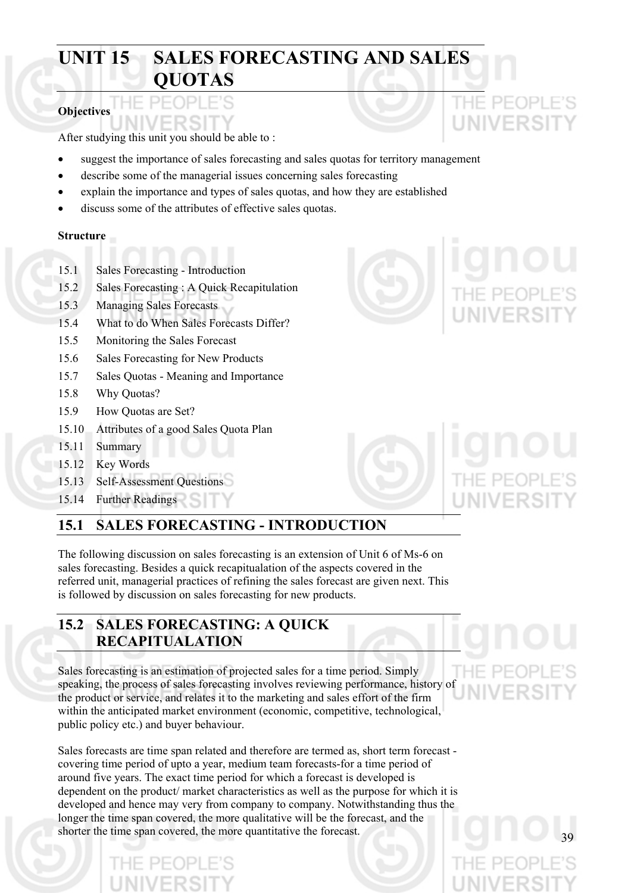# **UNIT 15 SALES FORECASTING AND SALES QUOTAS**

### **Objectives**

After studying this unit you should be able to :

- suggest the importance of sales forecasting and sales quotas for territory management
- describe some of the managerial issues concerning sales forecasting
- explain the importance and types of sales quotas, and how they are established
- discuss some of the attributes of effective sales quotas.

#### **Structure**

- 15.1 Sales Forecasting Introduction
- 15.2 Sales Forecasting : A Quick Recapitulation
- 15.3 Managing Sales Forecasts
- 15.4 What to do When Sales Forecasts Differ?
- 15.5 Monitoring the Sales Forecast
- 15.6 Sales Forecasting for New Products
- 15.7 Sales Quotas Meaning and Importance
- 15.8 Why Quotas?
- 15.9 How Quotas are Set?
- 15.10 Attributes of a good Sales Quota Plan
- 15.11 Summary
- 15.12 Key Words
- 15.13 Self-Assessment Questions
- 15.14 Further Readings

## **15.1 SALES FORECASTING - INTRODUCTION**

The following discussion on sales forecasting is an extension of Unit 6 of Ms-6 on sales forecasting. Besides a quick recapitualation of the aspects covered in the referred unit, managerial practices of refining the sales forecast are given next. This is followed by discussion on sales forecasting for new products.

## **15.2 SALES FORECASTING: A QUICK RECAPITUALATION**

Sales forecasting is an estimation of projected sales for a time period. Simply speaking, the process of sales forecasting involves reviewing performance, history of the product or service, and relates it to the marketing and sales effort of the firm within the anticipated market environment (economic, competitive, technological, public policy etc.) and buyer behaviour.

Sales forecasts are time span related and therefore are termed as, short term forecast covering time period of upto a year, medium team forecasts-for a time period of around five years. The exact time period for which a forecast is developed is dependent on the product/ market characteristics as well as the purpose for which it is developed and hence may very from company to company. Notwithstanding thus the longer the time span covered, the more qualitative will be the forecast, and the shorter the time span covered, the more quantitative the forecast.



THE PE(

UNIVERSI





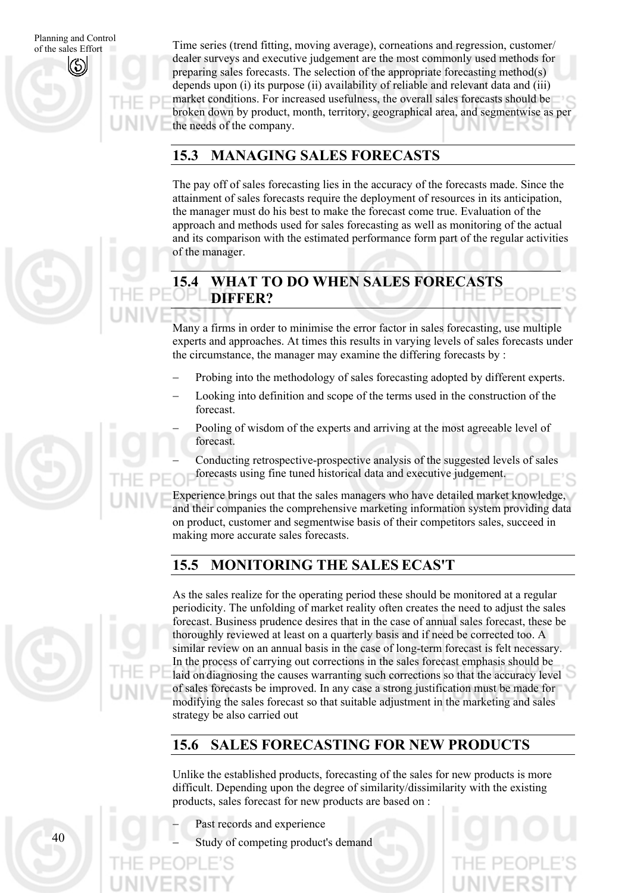of the sales Effort

Planning and Control Time series (trend fitting, moving average), corneations and regression, customer/ dealer surveys and executive judgement are the most commonly used methods for preparing sales forecasts. The selection of the appropriate forecasting method(s) depends upon (i) its purpose (ii) availability of reliable and relevant data and (iii) market conditions. For increased usefulness, the overall sales forecasts should be broken down by product, month, territory, geographical area, and segmentwise as per the needs of the company.

## **15.3 MANAGING SALES FORECASTS**

The pay off of sales forecasting lies in the accuracy of the forecasts made. Since the attainment of sales forecasts require the deployment of resources in its anticipation, the manager must do his best to make the forecast come true. Evaluation of the approach and methods used for sales forecasting as well as monitoring of the actual and its comparison with the estimated performance form part of the regular activities of the manager.

## **15.4 WHAT TO DO WHEN SALES FORECASTS DIFFER?**

Many a firms in order to minimise the error factor in sales forecasting, use multiple experts and approaches. At times this results in varying levels of sales forecasts under the circumstance, the manager may examine the differing forecasts by :

- Probing into the methodology of sales forecasting adopted by different experts.
- Looking into definition and scope of the terms used in the construction of the forecast.
	- Pooling of wisdom of the experts and arriving at the most agreeable level of forecast.

− Conducting retrospective-prospective analysis of the suggested levels of sales forecasts using fine tuned historical data and executive judgement.

Experience brings out that the sales managers who have detailed market knowledge, and their companies the comprehensive marketing information system providing data on product, customer and segmentwise basis of their competitors sales, succeed in making more accurate sales forecasts.

## **15.5 MONITORING THE SALES ECAS'T**

As the sales realize for the operating period these should be monitored at a regular periodicity. The unfolding of market reality often creates the need to adjust the sales forecast. Business prudence desires that in the case of annual sales forecast, these be thoroughly reviewed at least on a quarterly basis and if need be corrected too. A similar review on an annual basis in the case of long-term forecast is felt necessary. In the process of carrying out corrections in the sales forecast emphasis should be laid on diagnosing the causes warranting such corrections so that the accuracy level of sales forecasts be improved. In any case a strong justification must be made for modifying the sales forecast so that suitable adjustment in the marketing and sales strategy be also carried out

## **15.6 SALES FORECASTING FOR NEW PRODUCTS**

Unlike the established products, forecasting of the sales for new products is more difficult. Depending upon the degree of similarity/dissimilarity with the existing products, sales forecast for new products are based on :

- Past records and experience
- Study of competing product's demand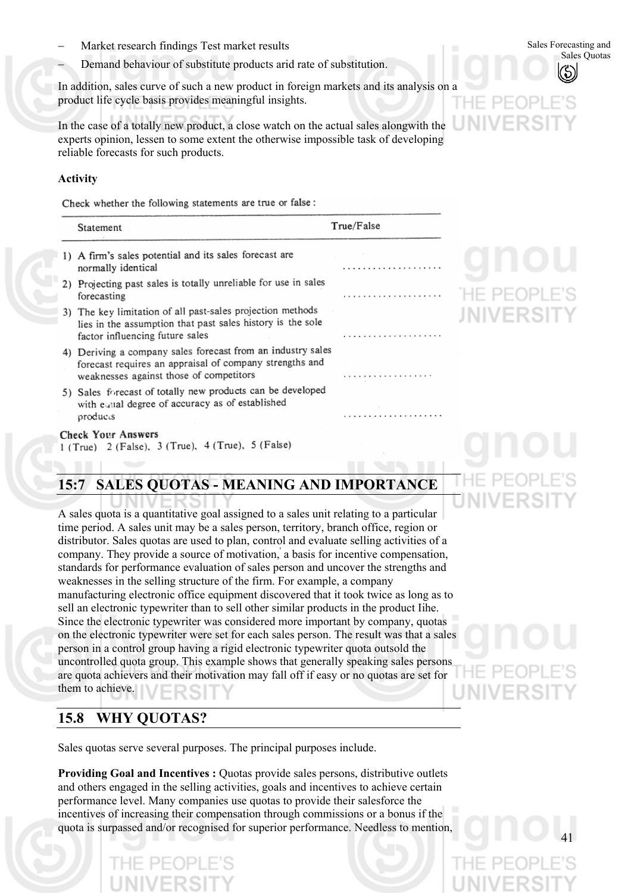- Market research findings Test market results − Sales Forecasting and Sales Forecasting and Sales Ouotas − Market results − Market results − Market results − Market results − Market results − Market results − Market result
- Demand behaviour of substitute products arid rate of substitution.

In addition, sales curve of such a new product in foreign markets and its analysis on a product life cycle basis provides meaningful insights.

In the case of a totally new product, a close watch on the actual sales alongwith the experts opinion, lessen to some extent the otherwise impossible task of developing reliable forecasts for such products.

#### **Activity**

Check whether the following statements are true or false :

| Statement                                                                                                                                                         | True/False |
|-------------------------------------------------------------------------------------------------------------------------------------------------------------------|------------|
| 1) A firm's sales potential and its sales forecast are<br>normally identical                                                                                      |            |
| 2) Projecting past sales is totally unreliable for use in sales<br>forecasting                                                                                    |            |
| 3) The key limitation of all past-sales projection methods<br>lies in the assumption that past sales history is the sole<br>factor influencing future sales       |            |
| 4) Deriving a company sales forecast from an industry sales<br>forecast requires an appraisal of company strengths and<br>weaknesses against those of competitors |            |
| 5) Sales forecast of totally new products can be developed<br>with equal degree of accuracy as of established<br>products                                         |            |

#### **Check Your Answers**

1 (True) 2 (False), 3 (True), 4 (True), 5 (False)

## **15:7 SALES QUOTAS - MEANING AND IMPORTANCE**

A sales quota is a quantitative goal assigned to a sales unit relating to a particular time period. A sales unit may be a sales person, territory, branch office, region or distributor. Sales quotas are used to plan, control and evaluate selling activities of a company. They provide a source of motivation,' a basis for incentive compensation, standards for performance evaluation of sales person and uncover the strengths and weaknesses in the selling structure of the firm. For example, a company manufacturing electronic office equipment discovered that it took twice as long as to sell an electronic typewriter than to sell other similar products in the product Iihe. Since the electronic typewriter was considered more important by company, quotas on the electronic typewriter were set for each sales person. The result was that a sales person in a control group having a rigid electronic typewriter quota outsold the uncontrolled quota group. This example shows that generally speaking sales persons are quota achievers and their motivation may fall off if easy or no quotas are set for them to achieve.

## **15.8 WHY QUOTAS?**

Sales quotas serve several purposes. The principal purposes include.

**Providing Goal and Incentives :** Quotas provide sales persons, distributive outlets and others engaged in the selling activities, goals and incentives to achieve certain performance level. Many companies use quotas to provide their salesforce the incentives of increasing their compensation through commissions or a bonus if the quota is surpassed and/or recognised for superior performance. Needless to mention,

41

Sales Forecasting and

HE PEOP **JNIVERSI**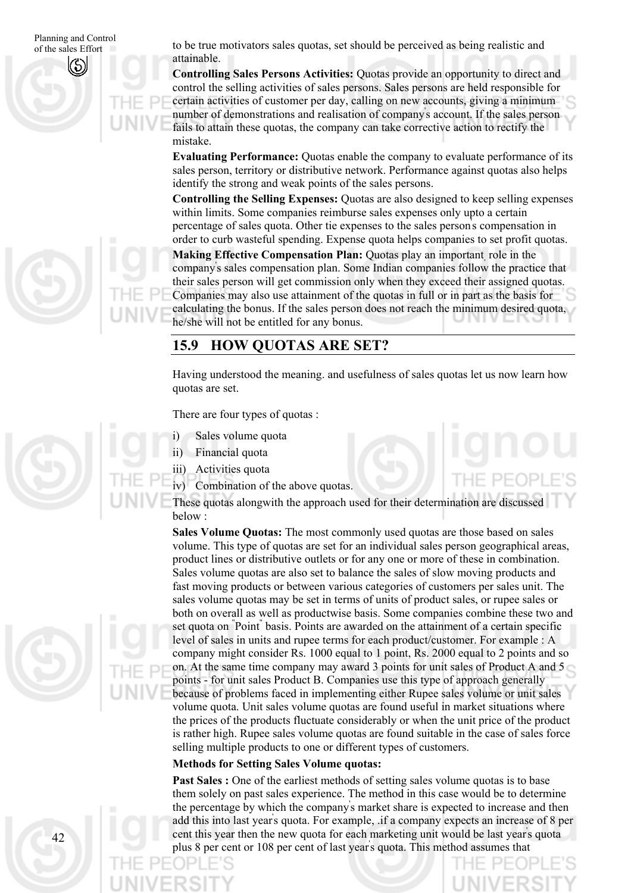of the sales Effort

Planning and Control to be true motivators sales quotas, set should be perceived as being realistic and of the sales Effort attainable.

> **Controlling Sales Persons Activities:** Quotas provide an opportunity to direct and control the selling activities of sales persons. Sales persons are held responsible for certain activities of customer per day, calling on new accounts, giving a minimum number of demonstrations and realisation of company' s account. If the sales person fails to attain these quotas, the company can take corrective action to rectify the mistake.

**Evaluating Performance:** Quotas enable the company to evaluate performance of its sales person, territory or distributive network. Performance against quotas also helps identify the strong and weak points of the sales persons.

**Controlling the Selling Expenses:** Quotas are also designed to keep selling expenses within limits. Some companies reimburse sales expenses only upto a certain percentage of sales quota. Other tie expenses to the sales person' s compensation in order to curb wasteful spending. Expense quota helps companies to set profit quotas.

**Making Effective Compensation Plan:** Ouotas play an important, role in the company' s sales compensation plan. Some Indian companies follow the practice that their sales person will get commission only when they exceed their assigned quotas. Companies may also use attainment of the quotas in full or in part as the basis for calculating the bonus. If the sales person does not reach the minimum desired quota, he/she will not be entitled for any bonus.

### **15.9 HOW QUOTAS ARE SET?**

Having understood the meaning. and usefulness of sales quotas let us now learn how quotas are set.

There are four types of quotas :

- i) Sales volume quota
- ii) Financial quota

iii) Activities quota

iv) Combination of the above quotas.

These quotas alongwith the approach used for their determination are discussed below :

**Sales Volume Quotas:** The most commonly used quotas are those based on sales volume. This type of quotas are set for an individual sales person geographical areas, product lines or distributive outlets or for any one or more of these in combination. Sales volume quotas are also set to balance the sales of slow moving products and fast moving products or between various categories of customers per sales unit. The sales volume quotas may be set in terms of units of product sales, or rupee sales or both on overall as well as productwise basis. Some companies combine these two and set quota on " Point" basis. Points are awarded on the attainment of a certain specific level of sales in units and rupee terms for each product/customer. For example : A company might consider Rs. 1000 equal to 1 point, Rs. 2000 equal to 2 points and so on. At the same time company may award 3 points for unit sales of Product A and 5 points - for unit sales Product B. Companies use this type of approach generally because of problems faced in implementing either Rupee sales volume or unit sales volume quota. Unit sales volume quotas are found useful in market situations where the prices of the products fluctuate considerably or when the unit price of the product is rather high. Rupee sales volume quotas are found suitable in the case of sales force selling multiple products to one or different types of customers.

#### **Methods for Setting Sales Volume quotas:**

**Past Sales :** One of the earliest methods of setting sales volume quotas is to base them solely on past sales experience. The method in this case would be to determine the percentage by which the company' s market share is expected to increase and then add this into last year' s quota. For example, .if a company expects an increase of 8 per cent this year then the new quota for each marketing unit would be last year' s quota plus 8 per cent or 108 per cent of last year' s quota. This method assumes that

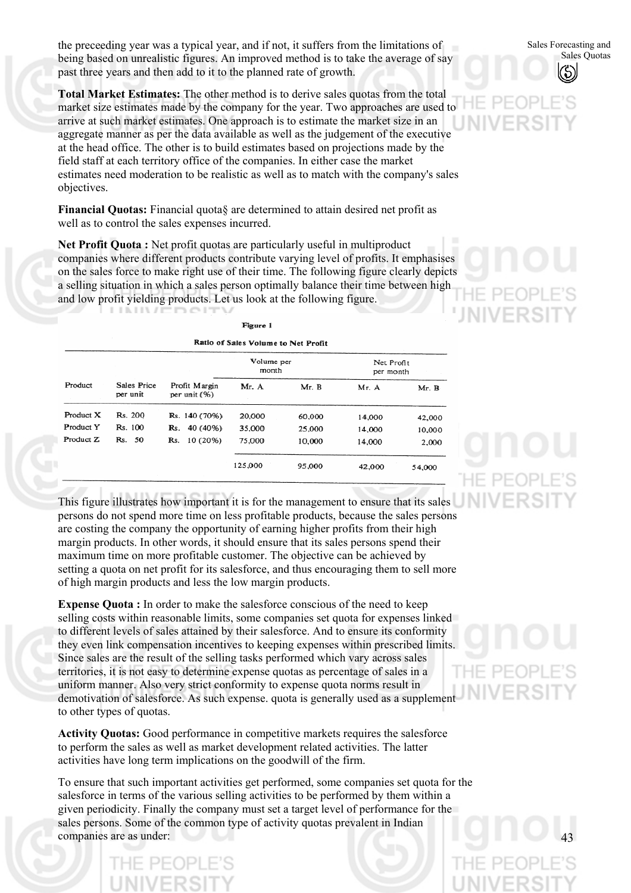the preceeding year was a typical year, and if not, it suffers from the limitations of being based on unrealistic figures. An improved method is to take the average of say past three years and then add to it to the planned rate of growth.

**Total Market Estimates:** The other method is to derive sales quotas from the total market size estimates made by the company for the year. Two approaches are used to arrive at such market estimates. One approach is to estimate the market size in an aggregate manner as per the data available as well as the judgement of the executive at the head office. The other is to build estimates based on projections made by the field staff at each territory office of the companies. In either case the market estimates need moderation to be realistic as well as to match with the company's sales objectives.

**Financial Quotas:** Financial quota§ are determined to attain desired net profit as well as to control the sales expenses incurred.

**Net Profit Quota :** Net profit quotas are particularly useful in multiproduct companies where different products contribute varying level of profits. It emphasises on the sales force to make right use of their time. The following figure clearly depicts a selling situation in which a sales person optimally balance their time between high and low profit yielding products. Let us look at the following figure. LININ / FROJEN

| Figure 1<br>Ratio of Sales Volume to Net Profit |                         |                               |                     |        |                         |        |  |  |
|-------------------------------------------------|-------------------------|-------------------------------|---------------------|--------|-------------------------|--------|--|--|
|                                                 |                         |                               | Volume per<br>month |        | Net Profit<br>per month |        |  |  |
| Product                                         | Sales Price<br>per unit | Profit Margin<br>per unit (%) | Mr. A               | Mr. B  | Mr. A                   | Mr. B  |  |  |
| Product X                                       | Rs. 200                 | Rs. 140 (70%)                 | 20,000              | 60,000 | 14,000                  | 42,000 |  |  |
| Product Y                                       | Rs. 100                 | Rs. 40 (40%)                  | 35,000              | 25,000 | 14,000                  | 10,000 |  |  |
| Product Z                                       | Rs. 50                  | 10 (20%)<br>Rs.               | 75,000              | 10,000 | 14,000                  | 2,000  |  |  |
|                                                 |                         |                               | 125,000             | 95,000 | 42,000                  | 54,000 |  |  |

This figure illustrates how important it is for the management to ensure that its sales persons do not spend more time on less profitable products, because the sales persons are costing the company the opportunity of earning higher profits from their high margin products. In other words, it should ensure that its sales persons spend their maximum time on more profitable customer. The objective can be achieved by setting a quota on net profit for its salesforce, and thus encouraging them to sell more of high margin products and less the low margin products.

**Expense Quota :** In order to make the salesforce conscious of the need to keep selling costs within reasonable limits, some companies set quota for expenses linked to different levels of sales attained by their salesforce. And to ensure its conformity they even link compensation incentives to keeping expenses within prescribed limits. Since sales are the result of the selling tasks performed which vary across sales territories, it is not easy to determine expense quotas as percentage of sales in a uniform manner. Also very strict conformity to expense quota norms result in demotivation of salesforce. As such expense. quota is generally used as a supplement to other types of quotas.

**Activity Quotas:** Good performance in competitive markets requires the salesforce to perform the sales as well as market development related activities. The latter activities have long term implications on the goodwill of the firm.

To ensure that such important activities get performed, some companies set quota for the salesforce in terms of the various selling activities to be performed by them within a given periodicity. Finally the company must set a target level of performance for the sales persons. Some of the common type of activity quotas prevalent in Indian companies are as under:



43

Sales Forecasting and Sales Quotas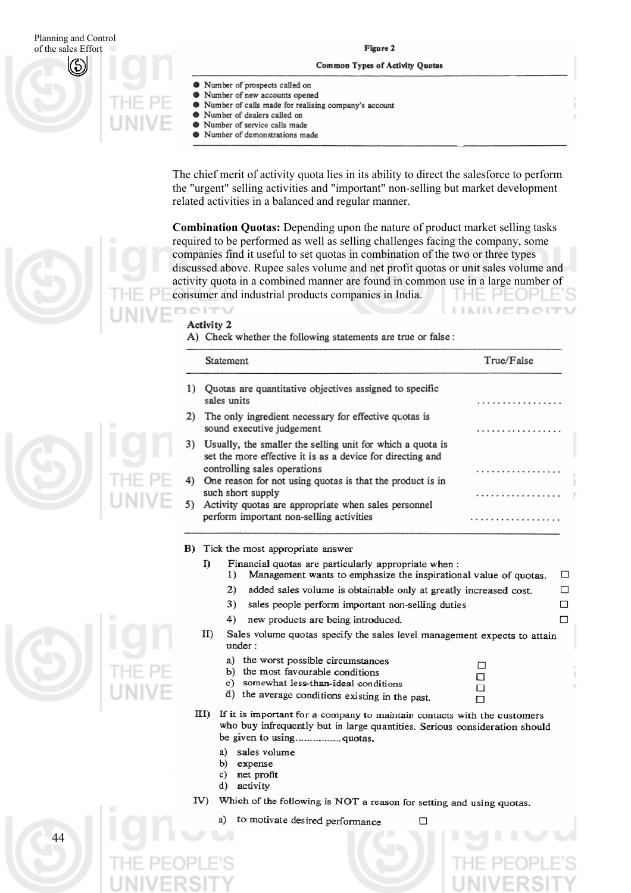#### Planning and Control Figure 2 of the sales Effort Common Types of Activity Quotas Number of prospects called on  $\bullet$ Number of new accounts opened Number of calls made for realising company's account dh Number of dealers called on Number of service calls made  $\bullet$ Number of demonstrations made

The chief merit of activity quota lies in its ability to direct the salesforce to perform the "urgent" selling activities and "important" non-selling but market development related activities in a balanced and regular manner.

**Combination Quotas:** Depending upon the nature of product market selling tasks required to be performed as well as selling challenges facing the company, some companies find it useful to set quotas in combination of the two or three types discussed above. Rupee sales volume and net profit quotas or unit sales volume and activity quota in a combined manner are found in common use in a large number of consumer and industrial products companies in India.

#### CITV Activity 2

A) Check whether the following statements are true or false:

|    | Statement                                                                                                                                                | True/False |
|----|----------------------------------------------------------------------------------------------------------------------------------------------------------|------------|
| I) | Quotas are quantitative objectives assigned to specific<br>sales units                                                                                   |            |
|    | 2) The only ingredient necessary for effective quotas is<br>sound executive judgement                                                                    |            |
| 3) | Usually, the smaller the selling unit for which a quota is<br>set the more effective it is as a device for directing and<br>controlling sales operations |            |
| 4) | One reason for not using quotas is that the product is in<br>such short supply                                                                           |            |
| 5) | Activity quotas are appropriate when sales personnel<br>perform important non-selling activities                                                         | .          |

B) Tick the most appropriate answer

- Financial quotas are particularly appropriate when : I)
	- $1)$ Management wants to emphasize the inspirational value of quotas.  $\Box$

 $\Box$ 

 $\Box$ 

 $\Box$ 

 $\Box$ 

 $\Box$ 

 $\Box$ 

 $\Box$ 

- $2)$ added sales volume is obtainable only at greatly increased cost.
- sales people perform important non-selling duties 3)
- 4) new products are being introduced.
- $_{\text{ID}}$ Sales volume quotas specify the sales level management expects to attain  $under:$ 
	- the worst possible circumstances a)
	- the most favourable conditions  $b)$
	- somewhat less-than-ideal conditions  $c)$
	- d) the average conditions existing in the past.
- III) If it is important for a company to maintain contacts with the customers who buy infrequently but in large quantities. Serious consideration should
	- a) sales volume
	- b) expense
	- net profit  $c)$
	- d) activity

44

IV) Which of the following is NOT a reason for setting and using quotas.

□

to motivate desired performance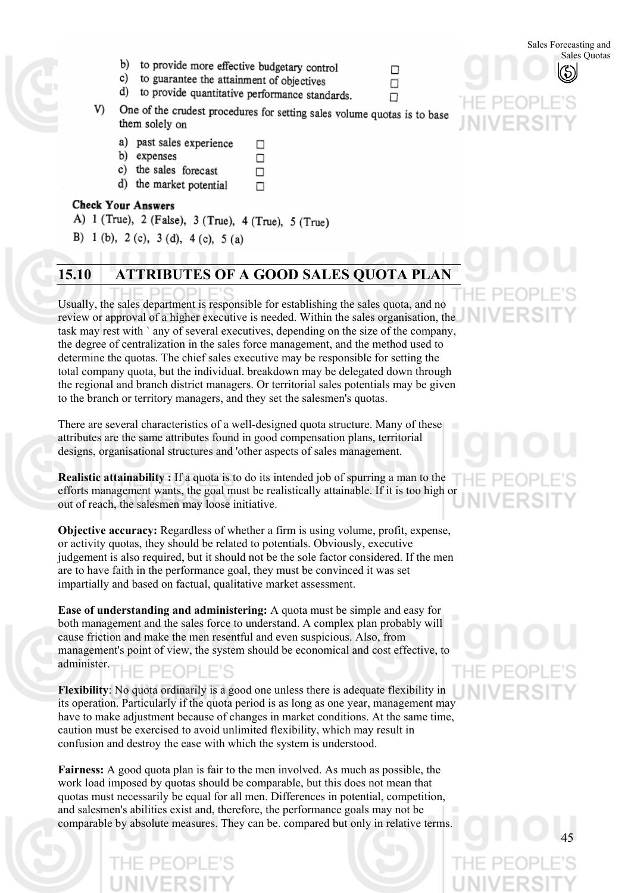Sales Forecasting and

- b) to provide more effective budgetary control
- c) to guarantee the attainment of objectives
- to provide quantitative performance standards. d)
- One of the crudest procedures for setting sales volume quotas is to base V). them solely on

 $\Box$ 

 $\Box$ 

 $\Box$ 

- a) past sales experience □
- b) expenses
- c) the sales forecast
- d) the market potential

#### **Check Your Answers**

### A) 1 (True), 2 (False), 3 (True), 4 (True), 5 (True)

B) 1 (b), 2 (c), 3 (d), 4 (c), 5 (a)

## **15.10 ATTRIBUTES OF A GOOD SALES QUOTA PLAN**

Usually, the sales department is responsible for establishing the sales quota, and no review or approval of a higher executive is needed. Within the sales organisation, the task may rest with ` any of several executives, depending on the size of the company, the degree of centralization in the sales force management, and the method used to determine the quotas. The chief sales executive may be responsible for setting the total company quota, but the individual. breakdown may be delegated down through the regional and branch district managers. Or territorial sales potentials may be given to the branch or territory managers, and they set the salesmen's quotas.

There are several characteristics of a well-designed quota structure. Many of these attributes are the same attributes found in good compensation plans, territorial designs, organisational structures and 'other aspects of sales management.

**Realistic attainability :** If a quota is to do its intended job of spurring a man to the efforts management wants, the goal must be realistically attainable. If it is too high or out of reach, the salesmen may loose initiative.

**Objective accuracy:** Regardless of whether a firm is using volume, profit, expense, or activity quotas, they should be related to potentials. Obviously, executive judgement is also required, but it should not be the sole factor considered. If the men are to have faith in the performance goal, they must be convinced it was set impartially and based on factual, qualitative market assessment.

**Ease of understanding and administering:** A quota must be simple and easy for both management and the sales force to understand. A complex plan probably will cause friction and make the men resentful and even suspicious. Also, from management's point of view, the system should be economical and cost effective, to administer. PFOPLE'S

**Flexibility**: No quota ordinarily is a good one unless there is adequate flexibility in its operation. Particularly if the quota period is as long as one year, management may have to make adjustment because of changes in market conditions. At the same time, caution must be exercised to avoid unlimited flexibility, which may result in confusion and destroy the ease with which the system is understood.

**Fairness:** A good quota plan is fair to the men involved. As much as possible, the work load imposed by quotas should be comparable, but this does not mean that quotas must necessarily be equal for all men. Differences in potential, competition, and salesmen's abilities exist and, therefore, the performance goals may not be comparable by absolute measures. They can be. compared but only in relative terms.

□

п

 $\Box$